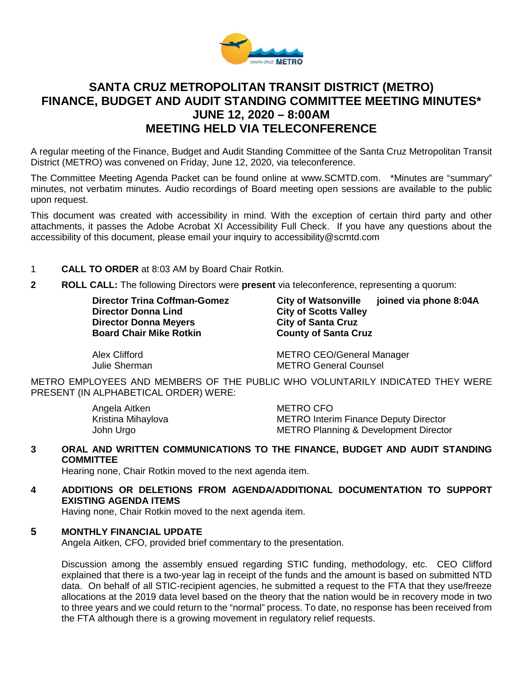

# **SANTA CRUZ METROPOLITAN TRANSIT DISTRICT (METRO) FINANCE, BUDGET AND AUDIT STANDING COMMITTEE MEETING MINUTES\* JUNE 12, 2020 – 8:00AM MEETING HELD VIA TELECONFERENCE**

A regular meeting of the Finance, Budget and Audit Standing Committee of the Santa Cruz Metropolitan Transit District (METRO) was convened on Friday, June 12, 2020, via teleconference.

The Committee Meeting Agenda Packet can be found online at www.SCMTD.com. \*Minutes are "summary" minutes, not verbatim minutes. Audio recordings of Board meeting open sessions are available to the public upon request.

This document was created with accessibility in mind. With the exception of certain third party and other attachments, it passes the Adobe Acrobat XI Accessibility Full Check. If you have any questions about the accessibility of this document, please email your inquiry to accessibility@scmtd.com

# 1 **CALL TO ORDER** at 8:03 AM by Board Chair Rotkin.

**2 ROLL CALL:** The following Directors were **present** via teleconference, representing a quorum:

**Director Donna Meyers City of Santa Cruz Conna Meyers City of Santa Cruz Connal Cruz Connact Cruz Connact Cruz Board Chair Mike Rotkin** 

**Director Trina Coffman-Gomez City of Watsonville joined via phone 8:04A City of Scotts Valley** 

Alex Clifford **METRO CEO/General Manager**<br>
METRO General Counsel **METRO General Counsel** 

METRO EMPLOYEES AND MEMBERS OF THE PUBLIC WHO VOLUNTARILY INDICATED THEY WERE PRESENT (IN ALPHABETICAL ORDER) WERE:

Angela Aitken METRO CFO

METRO Interim Finance Deputy Director John Urgo METRO Planning & Development Director

**3 ORAL AND WRITTEN COMMUNICATIONS TO THE FINANCE, BUDGET AND AUDIT STANDING COMMITTEE**

Hearing none, Chair Rotkin moved to the next agenda item.

**4 ADDITIONS OR DELETIONS FROM AGENDA/ADDITIONAL DOCUMENTATION TO SUPPORT EXISTING AGENDA ITEMS** 

Having none, Chair Rotkin moved to the next agenda item.

## **5 MONTHLY FINANCIAL UPDATE**

Angela Aitken, CFO, provided brief commentary to the presentation.

Discussion among the assembly ensued regarding STIC funding, methodology, etc. CEO Clifford explained that there is a two-year lag in receipt of the funds and the amount is based on submitted NTD data. On behalf of all STIC-recipient agencies, he submitted a request to the FTA that they use/freeze allocations at the 2019 data level based on the theory that the nation would be in recovery mode in two to three years and we could return to the "normal" process. To date, no response has been received from the FTA although there is a growing movement in regulatory relief requests.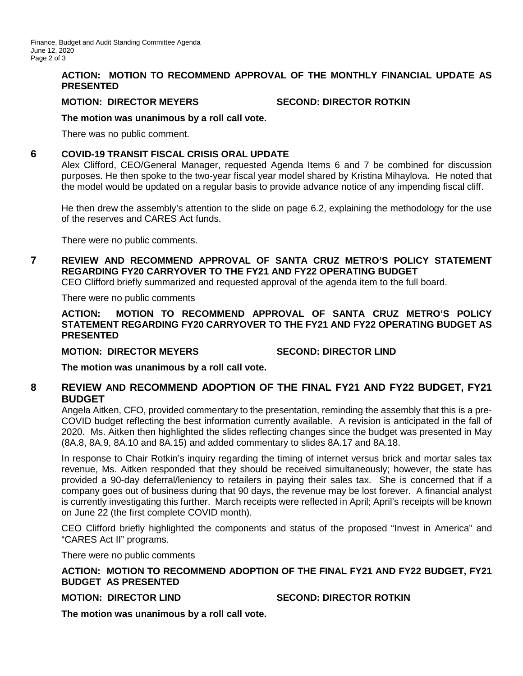#### **ACTION: MOTION TO RECOMMEND APPROVAL OF THE MONTHLY FINANCIAL UPDATE AS PRESENTED**

#### **MOTION: DIRECTOR MEYERS SECOND: DIRECTOR ROTKIN**

#### **The motion was unanimous by a roll call vote.**

There was no public comment.

### **6 COVID-19 TRANSIT FISCAL CRISIS ORAL UPDATE**

Alex Clifford, CEO/General Manager, requested Agenda Items 6 and 7 be combined for discussion purposes. He then spoke to the two-year fiscal year model shared by Kristina Mihaylova. He noted that the model would be updated on a regular basis to provide advance notice of any impending fiscal cliff.

He then drew the assembly's attention to the slide on page 6.2, explaining the methodology for the use of the reserves and CARES Act funds.

There were no public comments.

# **7 REVIEW AND RECOMMEND APPROVAL OF SANTA CRUZ METRO'S POLICY STATEMENT REGARDING FY20 CARRYOVER TO THE FY21 AND FY22 OPERATING BUDGET**

CEO Clifford briefly summarized and requested approval of the agenda item to the full board.

There were no public comments

**ACTION: MOTION TO RECOMMEND APPROVAL OF SANTA CRUZ METRO'S POLICY STATEMENT REGARDING FY20 CARRYOVER TO THE FY21 AND FY22 OPERATING BUDGET AS PRESENTED**

**MOTION: DIRECTOR MEYERS SECOND: DIRECTOR LIND**

**The motion was unanimous by a roll call vote.**

# **8 REVIEW AND RECOMMEND ADOPTION OF THE FINAL FY21 AND FY22 BUDGET, FY21 BUDGET**

Angela Aitken, CFO, provided commentary to the presentation, reminding the assembly that this is a pre-COVID budget reflecting the best information currently available. A revision is anticipated in the fall of 2020. Ms. Aitken then highlighted the slides reflecting changes since the budget was presented in May (8A.8, 8A.9, 8A.10 and 8A.15) and added commentary to slides 8A.17 and 8A.18.

In response to Chair Rotkin's inquiry regarding the timing of internet versus brick and mortar sales tax revenue, Ms. Aitken responded that they should be received simultaneously; however, the state has provided a 90-day deferral/leniency to retailers in paying their sales tax. She is concerned that if a company goes out of business during that 90 days, the revenue may be lost forever. A financial analyst is currently investigating this further. March receipts were reflected in April; April's receipts will be known on June 22 (the first complete COVID month).

CEO Clifford briefly highlighted the components and status of the proposed "Invest in America" and "CARES Act II" programs.

There were no public comments

## **ACTION: MOTION TO RECOMMEND ADOPTION OF THE FINAL FY21 AND FY22 BUDGET, FY21 BUDGET AS PRESENTED**

**MOTION: DIRECTOR LIND SECOND: DIRECTOR ROTKIN**

**The motion was unanimous by a roll call vote.**